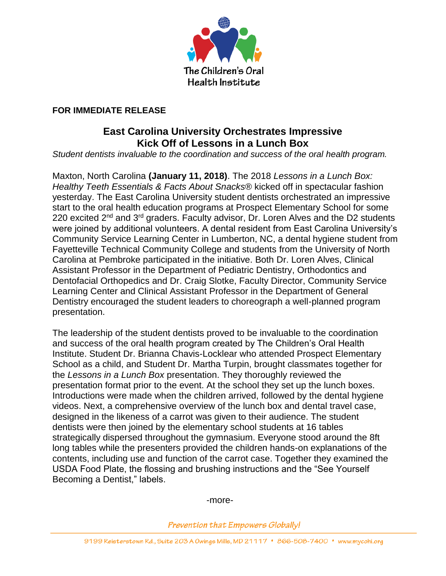

## **FOR IMMEDIATE RELEASE**

## **East Carolina University Orchestrates Impressive Kick Off of Lessons in a Lunch Box**

*Student dentists invaluable to the coordination and success of the oral health program.*

Maxton, North Carolina **(January 11, 2018)**. The 2018 *Lessons in a Lunch Box: Healthy Teeth Essentials & Facts About Snacks®* kicked off in spectacular fashion yesterday. The East Carolina University student dentists orchestrated an impressive start to the oral health education programs at Prospect Elementary School for some 220 excited  $2^{nd}$  and  $3^{rd}$  graders. Faculty advisor, Dr. Loren Alves and the D2 students were joined by additional volunteers. A dental resident from East Carolina University's Community Service Learning Center in Lumberton, NC, a dental hygiene student from Fayetteville Technical Community College and students from the University of North Carolina at Pembroke participated in the initiative. Both Dr. Loren Alves, Clinical Assistant Professor in the Department of Pediatric Dentistry, Orthodontics and Dentofacial Orthopedics and Dr. Craig Slotke, Faculty Director, Community Service Learning Center and Clinical Assistant Professor in the Department of General Dentistry encouraged the student leaders to choreograph a well-planned program presentation.

The leadership of the student dentists proved to be invaluable to the coordination and success of the oral health program created by The Children's Oral Health Institute. Student Dr. Brianna Chavis-Locklear who attended Prospect Elementary School as a child, and Student Dr. Martha Turpin, brought classmates together for the *Lessons in a Lunch Box* presentation. They thoroughly reviewed the presentation format prior to the event. At the school they set up the lunch boxes. Introductions were made when the children arrived, followed by the dental hygiene videos. Next, a comprehensive overview of the lunch box and dental travel case, designed in the likeness of a carrot was given to their audience. The student dentists were then joined by the elementary school students at 16 tables strategically dispersed throughout the gymnasium. Everyone stood around the 8ft long tables while the presenters provided the children hands-on explanations of the contents, including use and function of the carrot case. Together they examined the USDA Food Plate, the flossing and brushing instructions and the "See Yourself Becoming a Dentist," labels.

-more-

**Prevention that Empowers Globally!**